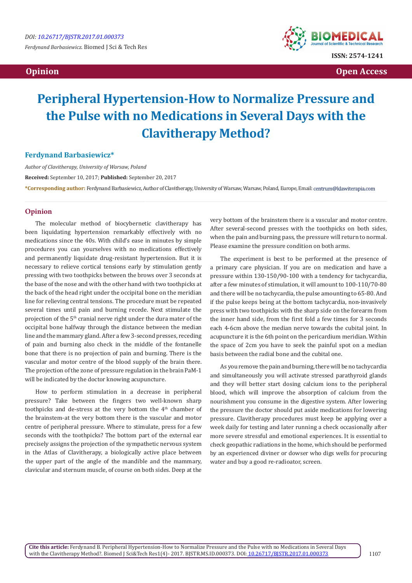*Ferdynand Barbasiewicz.* Biomed J Sci & Tech Res



 **Opinion Open Access Open Access**  *Open Access* **<b>** *Open Access* 

# **Peripheral Hypertension-How to Normalize Pressure and the Pulse with no Medications in Several Days with the Clavitherapy Method?**

#### **Ferdynand Barbasiewicz\***

*Author of Clavitherapy, University of Warsaw, Poland* **Received:** September 10, 2017; **Published:** September 20, 2017 **\*Corresponding author:** Ferdynand Barbasiewicz, Author of Clavitherapy, University of Warsaw, Warsaw, Poland, Europe, Email:

### **Opinion**

The molecular method of biocybernetic clavitherapy has been liquidating hypertension remarkably effectively with no medications since the 40s. With child's ease in minutes by simple procedures you can yourselves with no medications effectively and permanently liquidate drug-resistant hypertension. But it is necessary to relieve cortical tensions early by stimulation gently pressing with two toothpicks between the brows over 3 seconds at the base of the nose and with the other hand with two toothpicks at the back of the head right under the occipital bone on the meridian line for relieving central tensions. The procedure must be repeated several times until pain and burning recede. Next stimulate the projection of the 5<sup>th</sup> cranial nerve right under the dura mater of the occipital bone halfway through the distance between the median line and the mammary gland. After a few 3-second presses, receding of pain and burning also check in the middle of the fontanelle bone that there is no projection of pain and burning. There is the vascular and motor centre of the blood supply of the brain there. The projection of the zone of pressure regulation in the brain PaM-1 will be indicated by the doctor knowing acupuncture.

How to perform stimulation in a decrease in peripheral pressure? Take between the fingers two well-known sharp toothpicks and de-stress at the very bottom the 4<sup>th</sup> chamber of the brainstem-at the very bottom there is the vascular and motor centre of peripheral pressure. Where to stimulate, press for a few seconds with the toothpicks? The bottom part of the external ear precisely assigns the projection of the sympathetic nervous system in the Atlas of Clavitherapy, a biologically active place between the upper part of the angle of the mandible and the mammary, clavicular and sternum muscle, of course on both sides. Deep at the

very bottom of the brainstem there is a vascular and motor centre. After several-second presses with the toothpicks on both sides, when the pain and burning pass, the pressure will return to normal. Please examine the pressure condition on both arms.

The experiment is best to be performed at the presence of a primary care physician. If you are on medication and have a pressure within 130-150/90-100 with a tendency for tachycardia, after a few minutes of stimulation, it will amount to 100-110/70-80 and there will be no tachycardia, the pulse amounting to 65-80. And if the pulse keeps being at the bottom tachycardia, non-invasively press with two toothpicks with the sharp side on the forearm from the inner hand side, from the first fold a few times for 3 seconds each 4-6cm above the median nerve towards the cubital joint. In acupuncture it is the 6th point on the pericardium meridian. Within the space of 2cm you have to seek the painful spot on a median basis between the radial bone and the cubital one.

As you remove the pain and burning, there will be no tachycardia and simultaneously you will activate stressed parathyroid glands and they will better start dosing calcium ions to the peripheral blood, which will improve the absorption of calcium from the nourishment you consume in the digestive system. After lowering the pressure the doctor should put aside medications for lowering pressure. Clavitherapy procedures must keep be applying over a week daily for testing and later running a check occasionally after more severe stressful and emotional experiences. It is essential to check geopathic radiations in the home, which should be performed by an experienced diviner or dowser who digs wells for procuring water and buy a good re-radioator, screen.